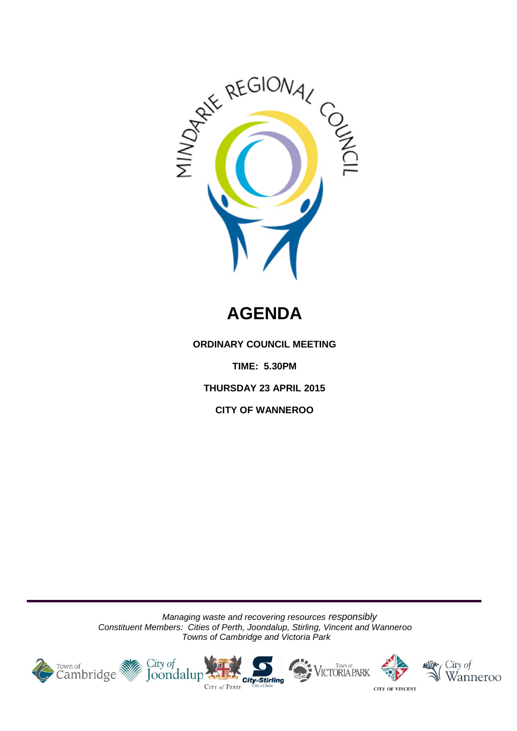

# **AGENDA**

**ORDINARY COUNCIL MEETING**

**TIME: 5.30PM**

**THURSDAY 23 APRIL 2015**

**CITY OF WANNEROO**

*Managing waste and recovering resources responsibly Constituent Members: Cities of Perth, Joondalup, Stirling, Vincent and Wanneroo Towns of Cambridge and Victoria Park*









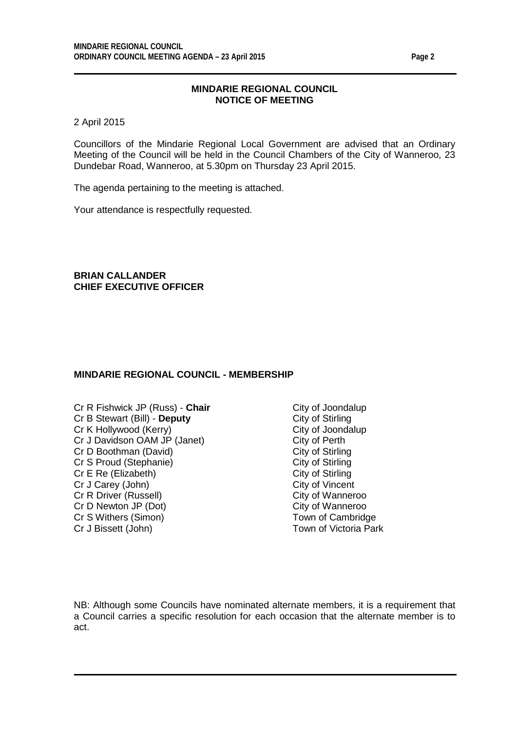2 April 2015

Councillors of the Mindarie Regional Local Government are advised that an Ordinary Meeting of the Council will be held in the Council Chambers of the City of Wanneroo, 23 Dundebar Road, Wanneroo, at 5.30pm on Thursday 23 April 2015.

The agenda pertaining to the meeting is attached.

Your attendance is respectfully requested.

**BRIAN CALLANDER CHIEF EXECUTIVE OFFICER**

#### **MINDARIE REGIONAL COUNCIL - MEMBERSHIP**

- Cr R Fishwick JP (Russ) **Chair** City of Joondalup Cr B Stewart (Bill) **Deputy** City of Stirling Cr B Stewart (Bill) - **Deputy** Cr K Hollywood (Kerry) City of Joondalup Cr J Davidson OAM JP (Janet)<br>
Cr D Boothman (David) City of Stirling Cr D Boothman (David) City of Stirling<br>
Cr S Proud (Stephanie) City of Stirling<br>
City of Stirling Cr S Proud (Stephanie) City of Stirling<br>
Cr E Re (Elizabeth) City of Stirling Cr E Re (Elizabeth) City of Stirling<br>
Cr J Carev (John) Cr J Carev (John) Cr J Carey (John) City of Vincent<br>
Cr R Driver (Russell) City of Wanneroo Cr R Driver (Russell) Cr D Newton JP (Dot)<br>
Cr S Withers (Simon) Cr S Withers (Simon) Cr S Withers (Simon) Town of Cambridge<br>
Cr J Bissett (John) Town of Victoria Park Cr J Bissett (John)
	-

NB: Although some Councils have nominated alternate members, it is a requirement that a Council carries a specific resolution for each occasion that the alternate member is to act.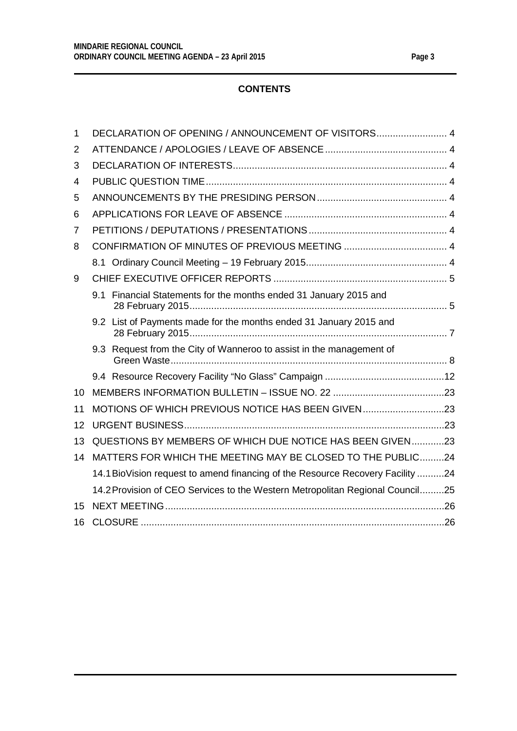| $\mathbf 1$    | DECLARATION OF OPENING / ANNOUNCEMENT OF VISITORS 4                            |  |
|----------------|--------------------------------------------------------------------------------|--|
| $\overline{2}$ |                                                                                |  |
| 3              |                                                                                |  |
| 4              |                                                                                |  |
| 5              |                                                                                |  |
| 6              |                                                                                |  |
| 7              |                                                                                |  |
| 8              |                                                                                |  |
|                |                                                                                |  |
| 9              |                                                                                |  |
|                | 9.1 Financial Statements for the months ended 31 January 2015 and              |  |
|                | 9.2 List of Payments made for the months ended 31 January 2015 and             |  |
|                | 9.3 Request from the City of Wanneroo to assist in the management of           |  |
|                |                                                                                |  |
| 10             |                                                                                |  |
| 11             | MOTIONS OF WHICH PREVIOUS NOTICE HAS BEEN GIVEN23                              |  |
| 12             |                                                                                |  |
| 13             | QUESTIONS BY MEMBERS OF WHICH DUE NOTICE HAS BEEN GIVEN23                      |  |
| 14             | MATTERS FOR WHICH THE MEETING MAY BE CLOSED TO THE PUBLIC24                    |  |
|                | 14.1 BioVision request to amend financing of the Resource Recovery Facility 24 |  |
|                | 14.2 Provision of CEO Services to the Western Metropolitan Regional Council25  |  |
| 15             |                                                                                |  |
| 16             |                                                                                |  |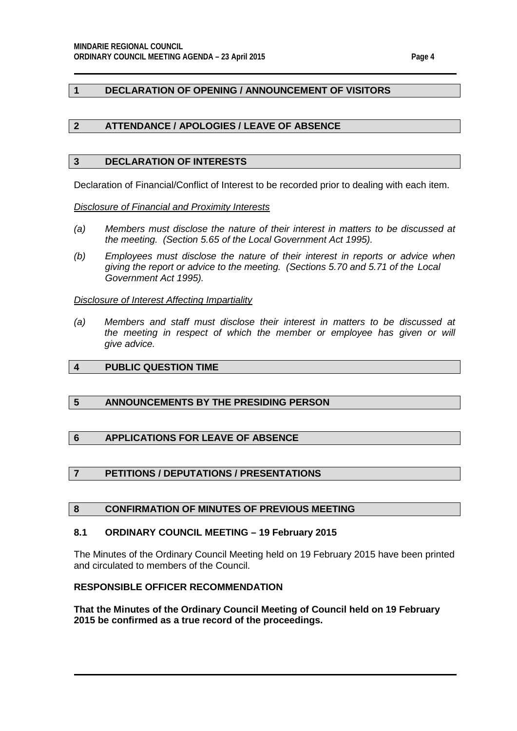# <span id="page-3-0"></span>**1 DECLARATION OF OPENING / ANNOUNCEMENT OF VISITORS**

# <span id="page-3-1"></span>**2 ATTENDANCE / APOLOGIES / LEAVE OF ABSENCE**

#### <span id="page-3-2"></span>**3 DECLARATION OF INTERESTS**

Declaration of Financial/Conflict of Interest to be recorded prior to dealing with each item.

*Disclosure of Financial and Proximity Interests*

- *(a) Members must disclose the nature of their interest in matters to be discussed at the meeting. (Section 5.65 of the Local Government Act 1995).*
- *(b) Employees must disclose the nature of their interest in reports or advice when giving the report or advice to the meeting. (Sections 5.70 and 5.71 of the Local Government Act 1995).*

#### *Disclosure of Interest Affecting Impartiality*

*(a) Members and staff must disclose their interest in matters to be discussed at*  the meeting in respect of which the member or employee has given or will *give advice.*

# <span id="page-3-3"></span>**4 PUBLIC QUESTION TIME**

# <span id="page-3-4"></span>**5 ANNOUNCEMENTS BY THE PRESIDING PERSON**

# <span id="page-3-5"></span>**6 APPLICATIONS FOR LEAVE OF ABSENCE**

# <span id="page-3-6"></span>**7 PETITIONS / DEPUTATIONS / PRESENTATIONS**

#### <span id="page-3-7"></span>**8 CONFIRMATION OF MINUTES OF PREVIOUS MEETING**

#### <span id="page-3-8"></span>**8.1 ORDINARY COUNCIL MEETING – 19 February 2015**

The Minutes of the Ordinary Council Meeting held on 19 February 2015 have been printed and circulated to members of the Council.

## **RESPONSIBLE OFFICER RECOMMENDATION**

**That the Minutes of the Ordinary Council Meeting of Council held on 19 February 2015 be confirmed as a true record of the proceedings.**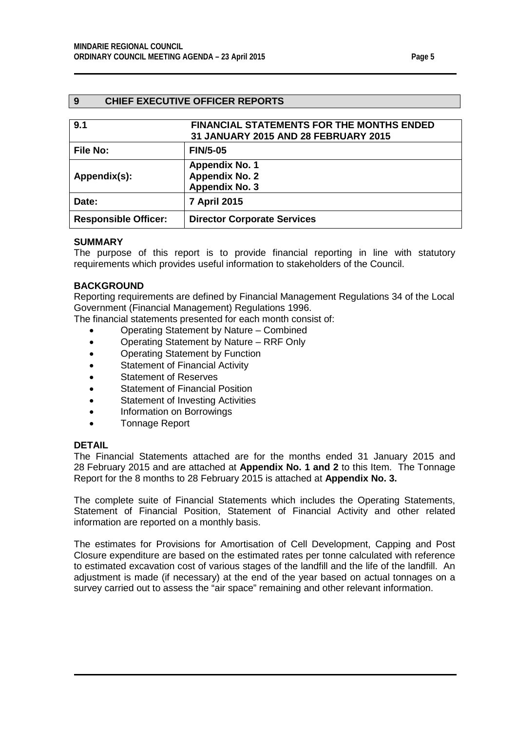# <span id="page-4-0"></span>**9 CHIEF EXECUTIVE OFFICER REPORTS**

<span id="page-4-2"></span><span id="page-4-1"></span>

| 9.1                         | <b>FINANCIAL STATEMENTS FOR THE MONTHS ENDED</b><br>31 JANUARY 2015 AND 28 FEBRUARY 2015 |
|-----------------------------|------------------------------------------------------------------------------------------|
| <b>File No:</b>             | <b>FIN/5-05</b>                                                                          |
| Appendix(s):                | <b>Appendix No. 1</b><br><b>Appendix No. 2</b><br><b>Appendix No. 3</b>                  |
| Date:                       | 7 April 2015                                                                             |
| <b>Responsible Officer:</b> | <b>Director Corporate Services</b>                                                       |

#### **SUMMARY**

The purpose of this report is to provide financial reporting in line with statutory requirements which provides useful information to stakeholders of the Council.

#### **BACKGROUND**

Reporting requirements are defined by Financial Management Regulations 34 of the Local Government (Financial Management) Regulations 1996.

The financial statements presented for each month consist of:

- Operating Statement by Nature Combined
- Operating Statement by Nature RRF Only
- Operating Statement by Function
- Statement of Financial Activity
- Statement of Reserves
- Statement of Financial Position
- Statement of Investing Activities
- Information on Borrowings
- Tonnage Report

#### **DETAIL**

The Financial Statements attached are for the months ended 31 January 2015 and 28 February 2015 and are attached at **Appendix No. 1 and 2** to this Item. The Tonnage Report for the 8 months to 28 February 2015 is attached at **Appendix No. 3.**

The complete suite of Financial Statements which includes the Operating Statements, Statement of Financial Position, Statement of Financial Activity and other related information are reported on a monthly basis.

The estimates for Provisions for Amortisation of Cell Development, Capping and Post Closure expenditure are based on the estimated rates per tonne calculated with reference to estimated excavation cost of various stages of the landfill and the life of the landfill. An adjustment is made (if necessary) at the end of the year based on actual tonnages on a survey carried out to assess the "air space" remaining and other relevant information.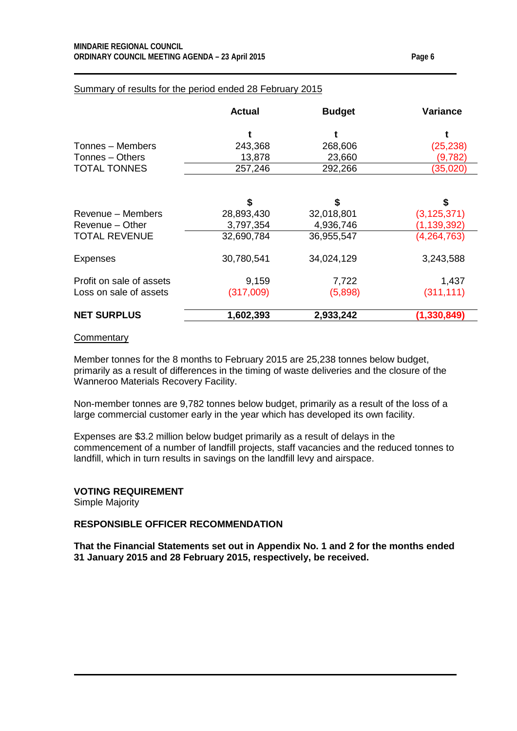|                          | <b>Actual</b> | <b>Budget</b> | <b>Variance</b> |
|--------------------------|---------------|---------------|-----------------|
|                          |               |               |                 |
| Tonnes - Members         | 243,368       | 268,606       | (25, 238)       |
| Tonnes - Others          | 13,878        | 23,660        | (9,782)         |
| <b>TOTAL TONNES</b>      | 257,246       | 292,266       | (35, 020)       |
|                          | \$            | \$            | \$              |
| Revenue – Members        | 28,893,430    | 32,018,801    | (3, 125, 371)   |
| Revenue - Other          | 3,797,354     | 4,936,746     | (1, 139, 392)   |
| <b>TOTAL REVENUE</b>     | 32,690,784    | 36,955,547    | (4,264,763)     |
| <b>Expenses</b>          | 30,780,541    | 34,024,129    | 3,243,588       |
| Profit on sale of assets | 9,159         | 7,722         | 1,437           |
| Loss on sale of assets   | (317,009)     | (5,898)       | (311, 111)      |
| <b>NET SURPLUS</b>       | 1,602,393     | 2,933,242     | (1, 330, 849)   |

# Summary of results for the period ended 28 February 2015

#### **Commentary**

Member tonnes for the 8 months to February 2015 are 25,238 tonnes below budget, primarily as a result of differences in the timing of waste deliveries and the closure of the Wanneroo Materials Recovery Facility.

Non-member tonnes are 9,782 tonnes below budget, primarily as a result of the loss of a large commercial customer early in the year which has developed its own facility.

Expenses are \$3.2 million below budget primarily as a result of delays in the commencement of a number of landfill projects, staff vacancies and the reduced tonnes to landfill, which in turn results in savings on the landfill levy and airspace.

#### **VOTING REQUIREMENT**

Simple Majority

#### **RESPONSIBLE OFFICER RECOMMENDATION**

**That the Financial Statements set out in Appendix No. 1 and 2 for the months ended 31 January 2015 and 28 February 2015, respectively, be received.**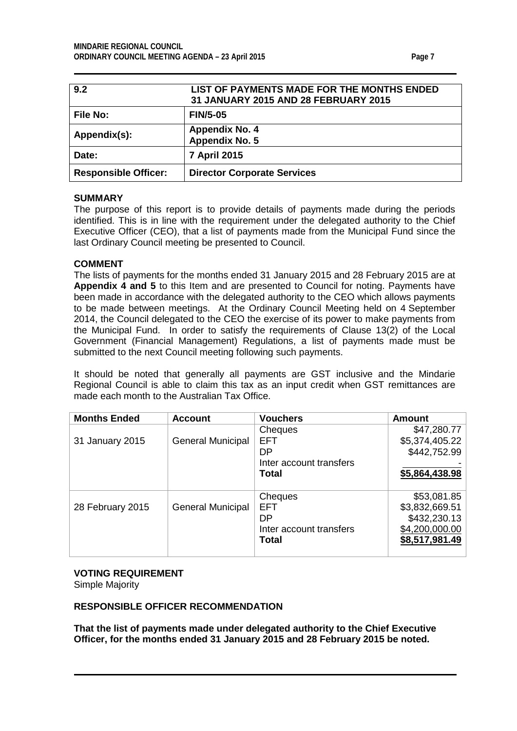<span id="page-6-1"></span><span id="page-6-0"></span>

| 9.2                         | LIST OF PAYMENTS MADE FOR THE MONTHS ENDED<br>31 JANUARY 2015 AND 28 FEBRUARY 2015 |
|-----------------------------|------------------------------------------------------------------------------------|
| <b>File No:</b>             | <b>FIN/5-05</b>                                                                    |
| Appendix(s):                | <b>Appendix No. 4</b><br>Appendix No. 5                                            |
| Date:                       | 7 April 2015                                                                       |
| <b>Responsible Officer:</b> | <b>Director Corporate Services</b>                                                 |

# **SUMMARY**

The purpose of this report is to provide details of payments made during the periods identified. This is in line with the requirement under the delegated authority to the Chief Executive Officer (CEO), that a list of payments made from the Municipal Fund since the last Ordinary Council meeting be presented to Council.

# **COMMENT**

The lists of payments for the months ended 31 January 2015 and 28 February 2015 are at **Appendix 4 and 5** to this Item and are presented to Council for noting. Payments have been made in accordance with the delegated authority to the CEO which allows payments to be made between meetings. At the Ordinary Council Meeting held on 4 September 2014, the Council delegated to the CEO the exercise of its power to make payments from the Municipal Fund. In order to satisfy the requirements of Clause 13(2) of the Local Government (Financial Management) Regulations, a list of payments made must be submitted to the next Council meeting following such payments.

It should be noted that generally all payments are GST inclusive and the Mindarie Regional Council is able to claim this tax as an input credit when GST remittances are made each month to the Australian Tax Office.

| <b>Months Ended</b> | <b>Account</b>           | <b>Vouchers</b>         | <b>Amount</b>  |
|---------------------|--------------------------|-------------------------|----------------|
|                     |                          | Cheques                 | \$47,280.77    |
| 31 January 2015     | <b>General Municipal</b> | <b>EFT</b>              | \$5,374,405.22 |
|                     |                          | DΡ                      | \$442,752.99   |
|                     |                          | Inter account transfers |                |
|                     |                          | Total                   | \$5,864,438.98 |
|                     |                          |                         |                |
|                     |                          | Cheques                 | \$53,081.85    |
| 28 February 2015    | <b>General Municipal</b> | <b>EFT</b>              | \$3,832,669.51 |
|                     |                          | DP                      | \$432,230.13   |
|                     |                          | Inter account transfers | \$4,200,000.00 |
|                     |                          | Total                   | \$8,517,981.49 |
|                     |                          |                         |                |

#### **VOTING REQUIREMENT**

Simple Majority

# **RESPONSIBLE OFFICER RECOMMENDATION**

**That the list of payments made under delegated authority to the Chief Executive Officer, for the months ended 31 January 2015 and 28 February 2015 be noted.**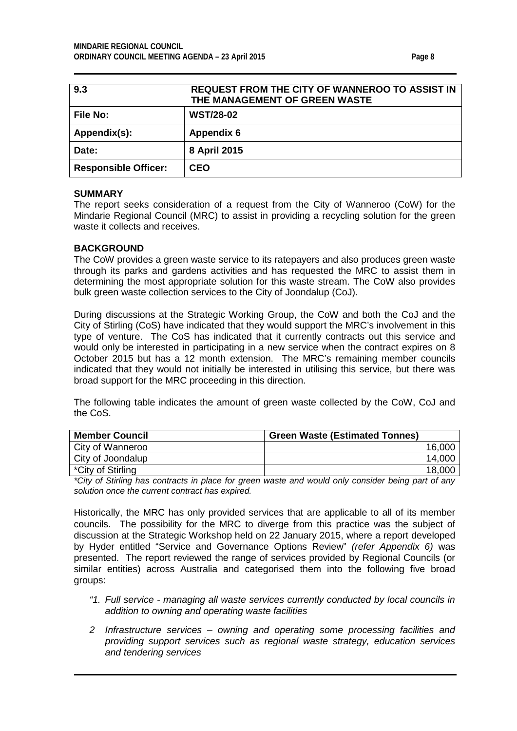<span id="page-7-0"></span>

| 9.3                         | <b>REQUEST FROM THE CITY OF WANNEROO TO ASSIST IN</b><br>THE MANAGEMENT OF GREEN WASTE |
|-----------------------------|----------------------------------------------------------------------------------------|
| <b>File No:</b>             | <b>WST/28-02</b>                                                                       |
| Appendix(s):                | <b>Appendix 6</b>                                                                      |
| Date:                       | 8 April 2015                                                                           |
| <b>Responsible Officer:</b> | <b>CEO</b>                                                                             |

#### **SUMMARY**

The report seeks consideration of a request from the City of Wanneroo (CoW) for the Mindarie Regional Council (MRC) to assist in providing a recycling solution for the green waste it collects and receives.

#### **BACKGROUND**

The CoW provides a green waste service to its ratepayers and also produces green waste through its parks and gardens activities and has requested the MRC to assist them in determining the most appropriate solution for this waste stream. The CoW also provides bulk green waste collection services to the City of Joondalup (CoJ).

During discussions at the Strategic Working Group, the CoW and both the CoJ and the City of Stirling (CoS) have indicated that they would support the MRC's involvement in this type of venture. The CoS has indicated that it currently contracts out this service and would only be interested in participating in a new service when the contract expires on 8 October 2015 but has a 12 month extension. The MRC's remaining member councils indicated that they would not initially be interested in utilising this service, but there was broad support for the MRC proceeding in this direction.

The following table indicates the amount of green waste collected by the CoW, CoJ and the CoS.

| <b>Member Council</b> | <b>Green Waste (Estimated Tonnes)</b> |
|-----------------------|---------------------------------------|
| City of Wanneroo      | 16,000                                |
| City of Joondalup     | 14,000                                |
| *City of Stirling     | 18.000                                |

*\*City of Stirling has contracts in place for green waste and would only consider being part of any solution once the current contract has expired.*

Historically, the MRC has only provided services that are applicable to all of its member councils. The possibility for the MRC to diverge from this practice was the subject of discussion at the Strategic Workshop held on 22 January 2015, where a report developed by Hyder entitled "Service and Governance Options Review" *(refer Appendix 6)* was presented. The report reviewed the range of services provided by Regional Councils (or similar entities) across Australia and categorised them into the following five broad groups:

- *"1. Full service - managing all waste services currently conducted by local councils in addition to owning and operating waste facilities*
- *2 Infrastructure services – owning and operating some processing facilities and providing support services such as regional waste strategy, education services and tendering services*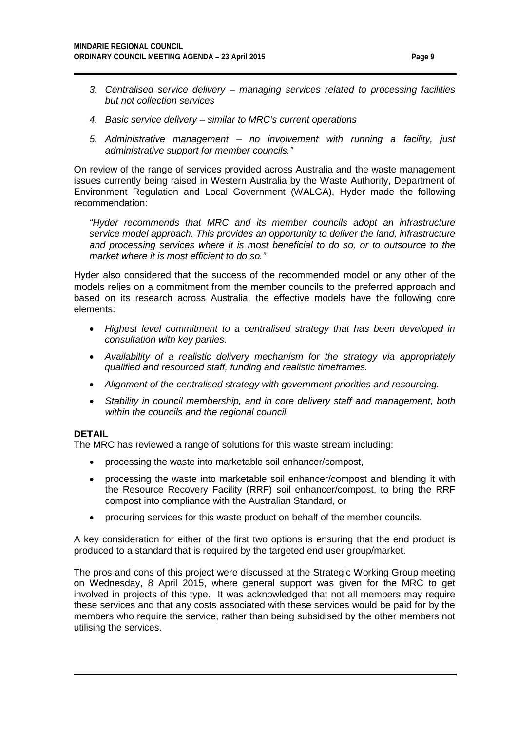- *3. Centralised service delivery – managing services related to processing facilities but not collection services*
- *4. Basic service delivery – similar to MRC's current operations*
- *5. Administrative management – no involvement with running a facility, just administrative support for member councils."*

On review of the range of services provided across Australia and the waste management issues currently being raised in Western Australia by the Waste Authority, Department of Environment Regulation and Local Government (WALGA), Hyder made the following recommendation:

*"Hyder recommends that MRC and its member councils adopt an infrastructure service model approach. This provides an opportunity to deliver the land, infrastructure and processing services where it is most beneficial to do so, or to outsource to the market where it is most efficient to do so."*

Hyder also considered that the success of the recommended model or any other of the models relies on a commitment from the member councils to the preferred approach and based on its research across Australia, the effective models have the following core elements:

- *Highest level commitment to a centralised strategy that has been developed in consultation with key parties.*
- *Availability of a realistic delivery mechanism for the strategy via appropriately qualified and resourced staff, funding and realistic timeframes.*
- *Alignment of the centralised strategy with government priorities and resourcing.*
- *Stability in council membership, and in core delivery staff and management, both within the councils and the regional council.*

#### **DETAIL**

The MRC has reviewed a range of solutions for this waste stream including:

- processing the waste into marketable soil enhancer/compost,
- processing the waste into marketable soil enhancer/compost and blending it with the Resource Recovery Facility (RRF) soil enhancer/compost, to bring the RRF compost into compliance with the Australian Standard, or
- procuring services for this waste product on behalf of the member councils.

A key consideration for either of the first two options is ensuring that the end product is produced to a standard that is required by the targeted end user group/market.

The pros and cons of this project were discussed at the Strategic Working Group meeting on Wednesday, 8 April 2015, where general support was given for the MRC to get involved in projects of this type. It was acknowledged that not all members may require these services and that any costs associated with these services would be paid for by the members who require the service, rather than being subsidised by the other members not utilising the services.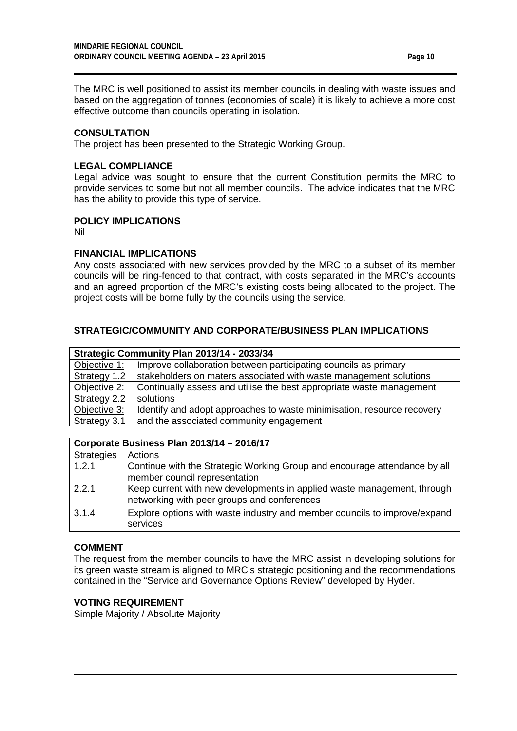The MRC is well positioned to assist its member councils in dealing with waste issues and based on the aggregation of tonnes (economies of scale) it is likely to achieve a more cost effective outcome than councils operating in isolation.

# **CONSULTATION**

The project has been presented to the Strategic Working Group.

## **LEGAL COMPLIANCE**

Legal advice was sought to ensure that the current Constitution permits the MRC to provide services to some but not all member councils. The advice indicates that the MRC has the ability to provide this type of service.

#### **POLICY IMPLICATIONS**

Nil

#### **FINANCIAL IMPLICATIONS**

Any costs associated with new services provided by the MRC to a subset of its member councils will be ring-fenced to that contract, with costs separated in the MRC's accounts and an agreed proportion of the MRC's existing costs being allocated to the project. The project costs will be borne fully by the councils using the service.

# **STRATEGIC/COMMUNITY AND CORPORATE/BUSINESS PLAN IMPLICATIONS**

| Strategic Community Plan 2013/14 - 2033/34 |                                                                        |  |  |
|--------------------------------------------|------------------------------------------------------------------------|--|--|
| Objective 1:                               | Improve collaboration between participating councils as primary        |  |  |
| Strategy 1.2                               | stakeholders on maters associated with waste management solutions      |  |  |
| Objective 2:                               | Continually assess and utilise the best appropriate waste management   |  |  |
| Strategy 2.2                               | solutions                                                              |  |  |
| Objective 3:                               | Identify and adopt approaches to waste minimisation, resource recovery |  |  |
| Strategy 3.1                               | and the associated community engagement                                |  |  |

|                   | Corporate Business Plan 2013/14 - 2016/17                                                                              |  |  |  |
|-------------------|------------------------------------------------------------------------------------------------------------------------|--|--|--|
| <b>Strategies</b> | Actions                                                                                                                |  |  |  |
| 1.2.1             | Continue with the Strategic Working Group and encourage attendance by all<br>member council representation             |  |  |  |
| 2.2.1             | Keep current with new developments in applied waste management, through<br>networking with peer groups and conferences |  |  |  |
| 3.1.4             | Explore options with waste industry and member councils to improve/expand<br>services                                  |  |  |  |

# **COMMENT**

The request from the member councils to have the MRC assist in developing solutions for its green waste stream is aligned to MRC's strategic positioning and the recommendations contained in the "Service and Governance Options Review" developed by Hyder.

# **VOTING REQUIREMENT**

Simple Majority / Absolute Majority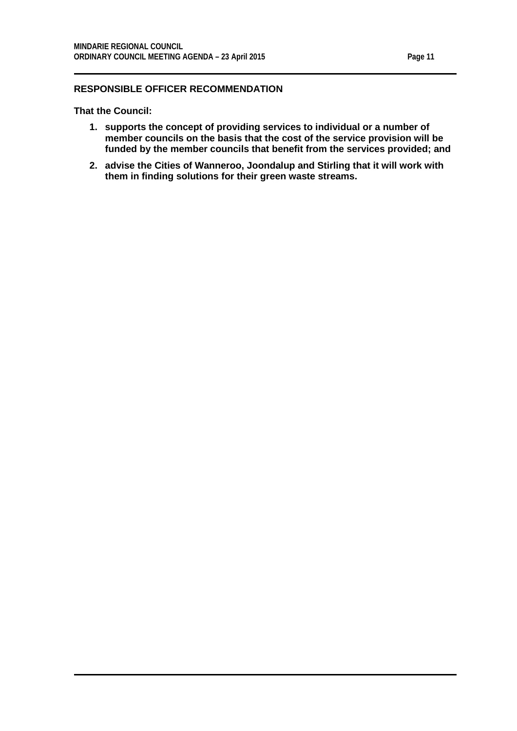#### **RESPONSIBLE OFFICER RECOMMENDATION**

**That the Council:**

- **1. supports the concept of providing services to individual or a number of member councils on the basis that the cost of the service provision will be funded by the member councils that benefit from the services provided; and**
- **2. advise the Cities of Wanneroo, Joondalup and Stirling that it will work with them in finding solutions for their green waste streams.**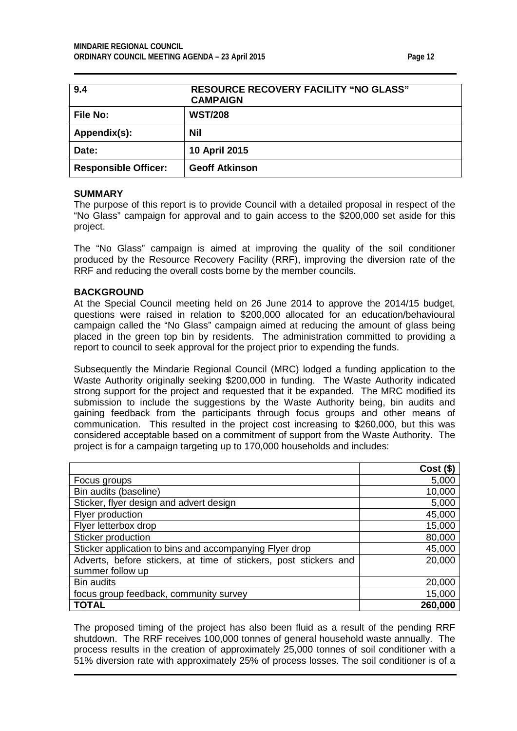<span id="page-11-0"></span>

| 9.4                         | <b>RESOURCE RECOVERY FACILITY "NO GLASS"</b><br><b>CAMPAIGN</b> |
|-----------------------------|-----------------------------------------------------------------|
| <b>File No:</b>             | <b>WST/208</b>                                                  |
| Appendix(s):                | Nil                                                             |
| Date:                       | 10 April 2015                                                   |
| <b>Responsible Officer:</b> | <b>Geoff Atkinson</b>                                           |

#### **SUMMARY**

The purpose of this report is to provide Council with a detailed proposal in respect of the "No Glass" campaign for approval and to gain access to the \$200,000 set aside for this project.

The "No Glass" campaign is aimed at improving the quality of the soil conditioner produced by the Resource Recovery Facility (RRF), improving the diversion rate of the RRF and reducing the overall costs borne by the member councils.

#### **BACKGROUND**

At the Special Council meeting held on 26 June 2014 to approve the 2014/15 budget, questions were raised in relation to \$200,000 allocated for an education/behavioural campaign called the "No Glass" campaign aimed at reducing the amount of glass being placed in the green top bin by residents. The administration committed to providing a report to council to seek approval for the project prior to expending the funds.

Subsequently the Mindarie Regional Council (MRC) lodged a funding application to the Waste Authority originally seeking \$200,000 in funding. The Waste Authority indicated strong support for the project and requested that it be expanded. The MRC modified its submission to include the suggestions by the Waste Authority being, bin audits and gaining feedback from the participants through focus groups and other means of communication. This resulted in the project cost increasing to \$260,000, but this was considered acceptable based on a commitment of support from the Waste Authority. The project is for a campaign targeting up to 170,000 households and includes:

|                                                                  | $Cost($ \$) |
|------------------------------------------------------------------|-------------|
| Focus groups                                                     | 5,000       |
| Bin audits (baseline)                                            | 10,000      |
| Sticker, flyer design and advert design                          | 5,000       |
| Flyer production                                                 | 45,000      |
| Flyer letterbox drop                                             | 15,000      |
| Sticker production                                               | 80,000      |
| Sticker application to bins and accompanying Flyer drop          | 45,000      |
| Adverts, before stickers, at time of stickers, post stickers and | 20,000      |
| summer follow up                                                 |             |
| Bin audits                                                       | 20,000      |
| focus group feedback, community survey                           | 15,000      |
| <b>TOTAL</b>                                                     | 260,000     |

The proposed timing of the project has also been fluid as a result of the pending RRF shutdown. The RRF receives 100,000 tonnes of general household waste annually. The process results in the creation of approximately 25,000 tonnes of soil conditioner with a 51% diversion rate with approximately 25% of process losses. The soil conditioner is of a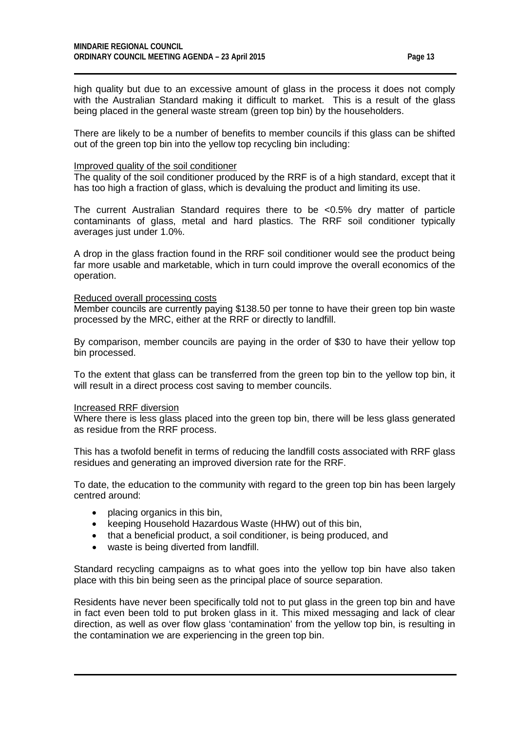high quality but due to an excessive amount of glass in the process it does not comply with the Australian Standard making it difficult to market. This is a result of the glass being placed in the general waste stream (green top bin) by the householders.

There are likely to be a number of benefits to member councils if this glass can be shifted out of the green top bin into the yellow top recycling bin including:

#### Improved quality of the soil conditioner

The quality of the soil conditioner produced by the RRF is of a high standard, except that it has too high a fraction of glass, which is devaluing the product and limiting its use.

The current Australian Standard requires there to be <0.5% dry matter of particle contaminants of glass, metal and hard plastics. The RRF soil conditioner typically averages just under 1.0%.

A drop in the glass fraction found in the RRF soil conditioner would see the product being far more usable and marketable, which in turn could improve the overall economics of the operation.

#### Reduced overall processing costs

Member councils are currently paying \$138.50 per tonne to have their green top bin waste processed by the MRC, either at the RRF or directly to landfill.

By comparison, member councils are paying in the order of \$30 to have their yellow top bin processed.

To the extent that glass can be transferred from the green top bin to the yellow top bin, it will result in a direct process cost saving to member councils.

#### Increased RRF diversion

Where there is less glass placed into the green top bin, there will be less glass generated as residue from the RRF process.

This has a twofold benefit in terms of reducing the landfill costs associated with RRF glass residues and generating an improved diversion rate for the RRF.

To date, the education to the community with regard to the green top bin has been largely centred around:

- placing organics in this bin,
- keeping Household Hazardous Waste (HHW) out of this bin,
- that a beneficial product, a soil conditioner, is being produced, and
- waste is being diverted from landfill.

Standard recycling campaigns as to what goes into the yellow top bin have also taken place with this bin being seen as the principal place of source separation.

Residents have never been specifically told not to put glass in the green top bin and have in fact even been told to put broken glass in it. This mixed messaging and lack of clear direction, as well as over flow glass 'contamination' from the yellow top bin, is resulting in the contamination we are experiencing in the green top bin.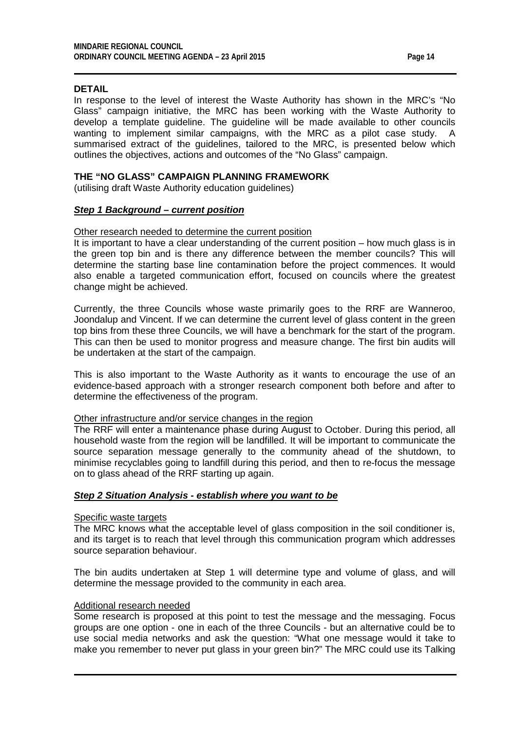#### **DETAIL**

In response to the level of interest the Waste Authority has shown in the MRC's "No Glass" campaign initiative, the MRC has been working with the Waste Authority to develop a template guideline. The guideline will be made available to other councils wanting to implement similar campaigns, with the MRC as a pilot case study. A summarised extract of the guidelines, tailored to the MRC, is presented below which outlines the objectives, actions and outcomes of the "No Glass" campaign.

## **THE "NO GLASS" CAMPAIGN PLANNING FRAMEWORK**

(utilising draft Waste Authority education guidelines)

#### *Step 1 Background – current position*

#### Other research needed to determine the current position

It is important to have a clear understanding of the current position – how much glass is in the green top bin and is there any difference between the member councils? This will determine the starting base line contamination before the project commences. It would also enable a targeted communication effort, focused on councils where the greatest change might be achieved.

Currently, the three Councils whose waste primarily goes to the RRF are Wanneroo, Joondalup and Vincent. If we can determine the current level of glass content in the green top bins from these three Councils, we will have a benchmark for the start of the program. This can then be used to monitor progress and measure change. The first bin audits will be undertaken at the start of the campaign.

This is also important to the Waste Authority as it wants to encourage the use of an evidence-based approach with a stronger research component both before and after to determine the effectiveness of the program.

#### Other infrastructure and/or service changes in the region

The RRF will enter a maintenance phase during August to October. During this period, all household waste from the region will be landfilled. It will be important to communicate the source separation message generally to the community ahead of the shutdown, to minimise recyclables going to landfill during this period, and then to re-focus the message on to glass ahead of the RRF starting up again.

#### *Step 2 Situation Analysis - establish where you want to be*

#### Specific waste targets

The MRC knows what the acceptable level of glass composition in the soil conditioner is, and its target is to reach that level through this communication program which addresses source separation behaviour.

The bin audits undertaken at Step 1 will determine type and volume of glass, and will determine the message provided to the community in each area.

#### Additional research needed

Some research is proposed at this point to test the message and the messaging. Focus groups are one option - one in each of the three Councils - but an alternative could be to use social media networks and ask the question: "What one message would it take to make you remember to never put glass in your green bin?" The MRC could use its Talking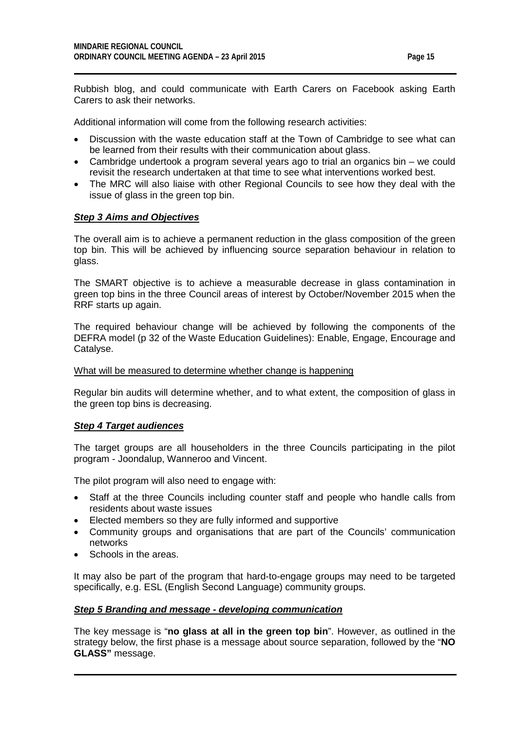Rubbish blog, and could communicate with Earth Carers on Facebook asking Earth Carers to ask their networks.

Additional information will come from the following research activities:

- Discussion with the waste education staff at the Town of Cambridge to see what can be learned from their results with their communication about glass.
- Cambridge undertook a program several years ago to trial an organics bin we could revisit the research undertaken at that time to see what interventions worked best.
- The MRC will also liaise with other Regional Councils to see how they deal with the issue of glass in the green top bin.

#### *Step 3 Aims and Objectives*

The overall aim is to achieve a permanent reduction in the glass composition of the green top bin. This will be achieved by influencing source separation behaviour in relation to glass.

The SMART objective is to achieve a measurable decrease in glass contamination in green top bins in the three Council areas of interest by October/November 2015 when the RRF starts up again.

The required behaviour change will be achieved by following the components of the DEFRA model (p 32 of the Waste Education Guidelines): Enable, Engage, Encourage and Catalyse.

#### What will be measured to determine whether change is happening

Regular bin audits will determine whether, and to what extent, the composition of glass in the green top bins is decreasing.

#### *Step 4 Target audiences*

The target groups are all householders in the three Councils participating in the pilot program - Joondalup, Wanneroo and Vincent.

The pilot program will also need to engage with:

- Staff at the three Councils including counter staff and people who handle calls from residents about waste issues
- Elected members so they are fully informed and supportive
- Community groups and organisations that are part of the Councils' communication networks
- Schools in the areas.

It may also be part of the program that hard-to-engage groups may need to be targeted specifically, e.g. ESL (English Second Language) community groups.

#### *Step 5 Branding and message - developing communication*

The key message is "**no glass at all in the green top bin**". However, as outlined in the strategy below, the first phase is a message about source separation, followed by the "**NO GLASS"** message.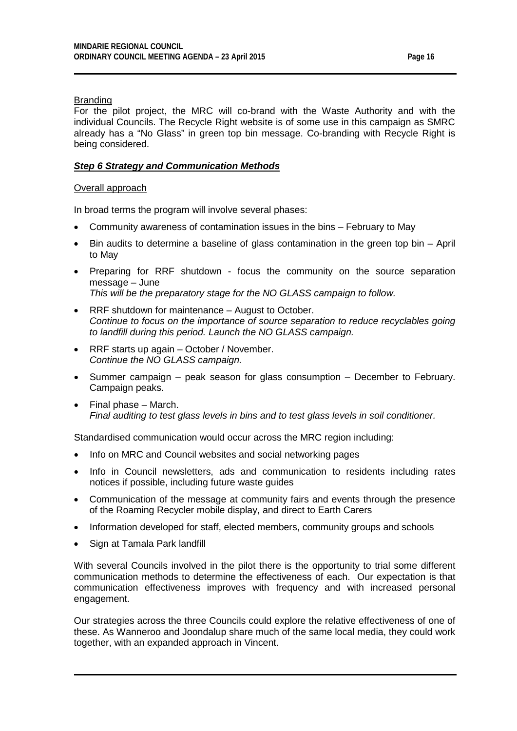## **Branding**

For the pilot project, the MRC will co-brand with the Waste Authority and with the individual Councils. The Recycle Right website is of some use in this campaign as SMRC already has a "No Glass" in green top bin message. Co-branding with Recycle Right is being considered.

# *Step 6 Strategy and Communication Methods*

### Overall approach

In broad terms the program will involve several phases:

- Community awareness of contamination issues in the bins February to May
- Bin audits to determine a baseline of glass contamination in the green top bin April to May
- Preparing for RRF shutdown focus the community on the source separation message – June *This will be the preparatory stage for the NO GLASS campaign to follow.*
- RRF shutdown for maintenance August to October. *Continue to focus on the importance of source separation to reduce recyclables going to landfill during this period. Launch the NO GLASS campaign.*
- RRF starts up again October / November. *Continue the NO GLASS campaign.*
- Summer campaign peak season for glass consumption December to February. Campaign peaks.
- Final phase March. *Final auditing to test glass levels in bins and to test glass levels in soil conditioner.*

Standardised communication would occur across the MRC region including:

- Info on MRC and Council websites and social networking pages
- Info in Council newsletters, ads and communication to residents including rates notices if possible, including future waste guides
- Communication of the message at community fairs and events through the presence of the Roaming Recycler mobile display, and direct to Earth Carers
- Information developed for staff, elected members, community groups and schools
- Sign at Tamala Park landfill

With several Councils involved in the pilot there is the opportunity to trial some different communication methods to determine the effectiveness of each. Our expectation is that communication effectiveness improves with frequency and with increased personal engagement.

Our strategies across the three Councils could explore the relative effectiveness of one of these. As Wanneroo and Joondalup share much of the same local media, they could work together, with an expanded approach in Vincent.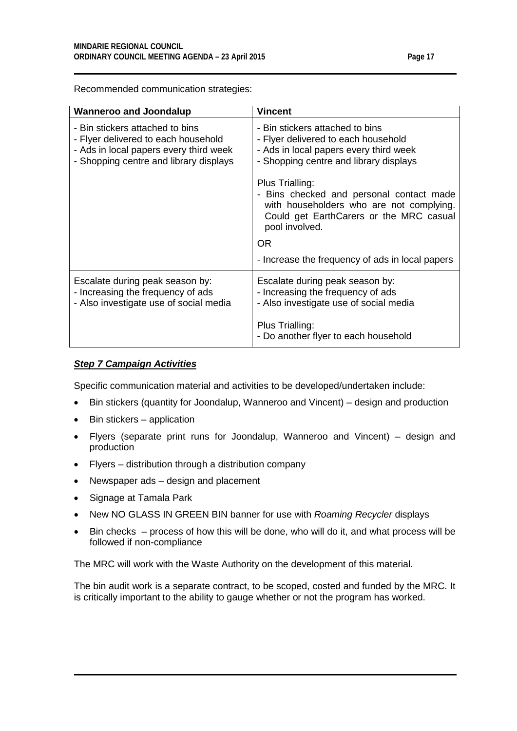Recommended communication strategies:

| <b>Wanneroo and Joondalup</b>                                                                                                                              | <b>Vincent</b>                                                                                                                                                       |
|------------------------------------------------------------------------------------------------------------------------------------------------------------|----------------------------------------------------------------------------------------------------------------------------------------------------------------------|
| - Bin stickers attached to bins<br>- Flyer delivered to each household<br>- Ads in local papers every third week<br>- Shopping centre and library displays | - Bin stickers attached to bins<br>- Flyer delivered to each household<br>- Ads in local papers every third week<br>- Shopping centre and library displays           |
|                                                                                                                                                            | Plus Trialling:<br>- Bins checked and personal contact made<br>with householders who are not complying.<br>Could get EarthCarers or the MRC casual<br>pool involved. |
|                                                                                                                                                            | OR.                                                                                                                                                                  |
|                                                                                                                                                            | - Increase the frequency of ads in local papers                                                                                                                      |
| Escalate during peak season by:<br>- Increasing the frequency of ads<br>- Also investigate use of social media                                             | Escalate during peak season by:<br>- Increasing the frequency of ads<br>- Also investigate use of social media                                                       |
|                                                                                                                                                            | Plus Trialling:<br>- Do another flyer to each household                                                                                                              |

## *Step 7 Campaign Activities*

Specific communication material and activities to be developed/undertaken include:

- Bin stickers (quantity for Joondalup, Wanneroo and Vincent) design and production
- Bin stickers application
- Flyers (separate print runs for Joondalup, Wanneroo and Vincent) design and production
- Flyers distribution through a distribution company
- Newspaper ads design and placement
- Signage at Tamala Park
- New NO GLASS IN GREEN BIN banner for use with *Roaming Recycler* displays
- Bin checks process of how this will be done, who will do it, and what process will be followed if non-compliance

The MRC will work with the Waste Authority on the development of this material.

The bin audit work is a separate contract, to be scoped, costed and funded by the MRC. It is critically important to the ability to gauge whether or not the program has worked.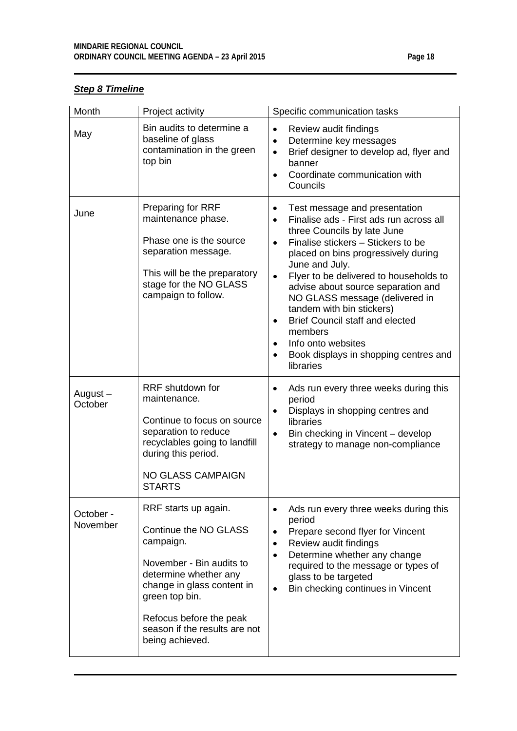# *Step 8 Timeline*

| Month                 | Project activity                                                                                                                                                                                                                               | Specific communication tasks                                                                                                                                                                                                                                                                                                                                                                                                                                                                                                                                              |
|-----------------------|------------------------------------------------------------------------------------------------------------------------------------------------------------------------------------------------------------------------------------------------|---------------------------------------------------------------------------------------------------------------------------------------------------------------------------------------------------------------------------------------------------------------------------------------------------------------------------------------------------------------------------------------------------------------------------------------------------------------------------------------------------------------------------------------------------------------------------|
| May                   | Bin audits to determine a<br>baseline of glass<br>contamination in the green<br>top bin                                                                                                                                                        | Review audit findings<br>$\bullet$<br>Determine key messages<br>$\bullet$<br>Brief designer to develop ad, flyer and<br>$\bullet$<br>banner<br>Coordinate communication with<br>$\bullet$<br>Councils                                                                                                                                                                                                                                                                                                                                                                     |
| June                  | <b>Preparing for RRF</b><br>maintenance phase.<br>Phase one is the source<br>separation message.<br>This will be the preparatory<br>stage for the NO GLASS<br>campaign to follow.                                                              | Test message and presentation<br>٠<br>Finalise ads - First ads run across all<br>$\bullet$<br>three Councils by late June<br>Finalise stickers - Stickers to be<br>$\bullet$<br>placed on bins progressively during<br>June and July.<br>Flyer to be delivered to households to<br>$\bullet$<br>advise about source separation and<br>NO GLASS message (delivered in<br>tandem with bin stickers)<br><b>Brief Council staff and elected</b><br>$\bullet$<br>members<br>Info onto websites<br>$\bullet$<br>Book displays in shopping centres and<br>$\bullet$<br>libraries |
| August-<br>October    | RRF shutdown for<br>maintenance.<br>Continue to focus on source<br>separation to reduce<br>recyclables going to landfill<br>during this period.<br><b>NO GLASS CAMPAIGN</b><br><b>STARTS</b>                                                   | Ads run every three weeks during this<br>$\bullet$<br>period<br>Displays in shopping centres and<br>$\bullet$<br>libraries<br>Bin checking in Vincent - develop<br>$\bullet$<br>strategy to manage non-compliance                                                                                                                                                                                                                                                                                                                                                         |
| October -<br>November | RRF starts up again.<br>Continue the NO GLASS<br>campaign.<br>November - Bin audits to<br>determine whether any<br>change in glass content in<br>green top bin.<br>Refocus before the peak<br>season if the results are not<br>being achieved. | Ads run every three weeks during this<br>period<br>Prepare second flyer for Vincent<br>$\bullet$<br>Review audit findings<br>٠<br>Determine whether any change<br>$\bullet$<br>required to the message or types of<br>glass to be targeted<br>Bin checking continues in Vincent                                                                                                                                                                                                                                                                                           |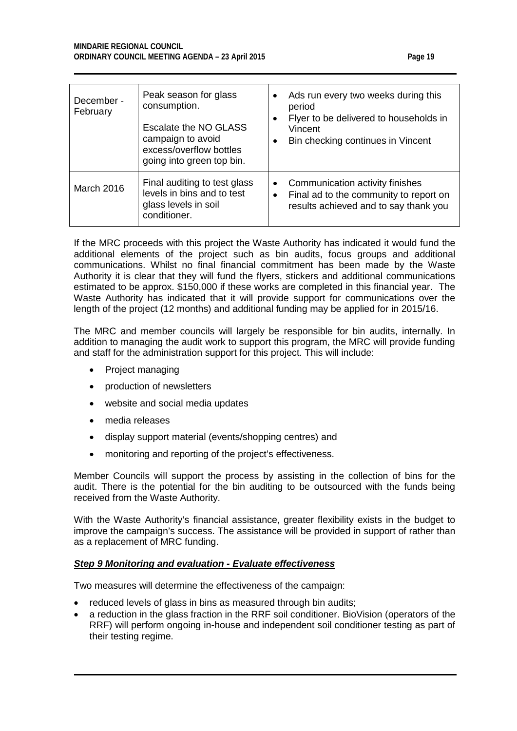| December -<br>February | Peak season for glass<br>consumption.<br>Escalate the NO GLASS<br>campaign to avoid<br>excess/overflow bottles<br>going into green top bin. | Ads run every two weeks during this<br>$\bullet$<br>period<br>Flyer to be delivered to households in<br>$\bullet$<br>Vincent<br>Bin checking continues in Vincent<br>٠ |
|------------------------|---------------------------------------------------------------------------------------------------------------------------------------------|------------------------------------------------------------------------------------------------------------------------------------------------------------------------|
| <b>March 2016</b>      | Final auditing to test glass<br>levels in bins and to test<br>glass levels in soil<br>conditioner.                                          | Communication activity finishes<br>٠<br>Final ad to the community to report on<br>٠<br>results achieved and to say thank you                                           |

If the MRC proceeds with this project the Waste Authority has indicated it would fund the additional elements of the project such as bin audits, focus groups and additional communications. Whilst no final financial commitment has been made by the Waste Authority it is clear that they will fund the flyers, stickers and additional communications estimated to be approx. \$150,000 if these works are completed in this financial year. The Waste Authority has indicated that it will provide support for communications over the length of the project (12 months) and additional funding may be applied for in 2015/16.

The MRC and member councils will largely be responsible for bin audits, internally. In addition to managing the audit work to support this program, the MRC will provide funding and staff for the administration support for this project. This will include:

- Project managing
- production of newsletters
- website and social media updates
- media releases
- display support material (events/shopping centres) and
- monitoring and reporting of the project's effectiveness.

Member Councils will support the process by assisting in the collection of bins for the audit. There is the potential for the bin auditing to be outsourced with the funds being received from the Waste Authority.

With the Waste Authority's financial assistance, greater flexibility exists in the budget to improve the campaign's success. The assistance will be provided in support of rather than as a replacement of MRC funding.

# *Step 9 Monitoring and evaluation - Evaluate effectiveness*

Two measures will determine the effectiveness of the campaign:

- reduced levels of glass in bins as measured through bin audits;
- a reduction in the glass fraction in the RRF soil conditioner. BioVision (operators of the RRF) will perform ongoing in-house and independent soil conditioner testing as part of their testing regime.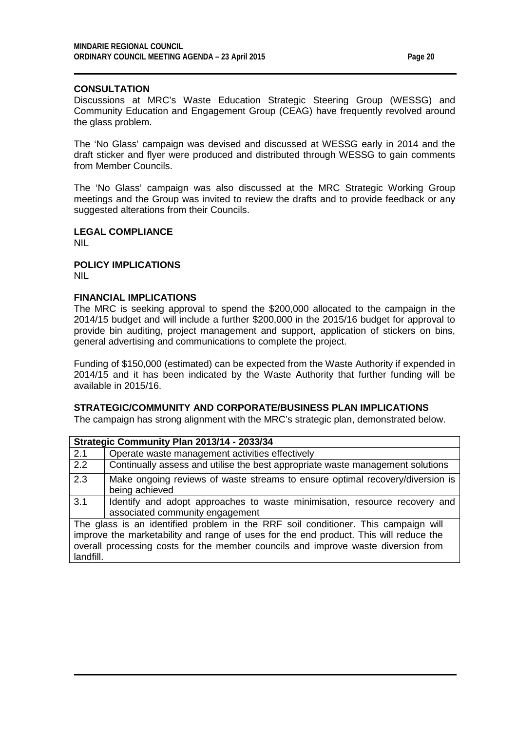# **CONSULTATION**

Discussions at MRC's Waste Education Strategic Steering Group (WESSG) and Community Education and Engagement Group (CEAG) have frequently revolved around the glass problem.

The 'No Glass' campaign was devised and discussed at WESSG early in 2014 and the draft sticker and flyer were produced and distributed through WESSG to gain comments from Member Councils.

The 'No Glass' campaign was also discussed at the MRC Strategic Working Group meetings and the Group was invited to review the drafts and to provide feedback or any suggested alterations from their Councils.

#### **LEGAL COMPLIANCE** NIL

**POLICY IMPLICATIONS** NIL

landfill.

#### **FINANCIAL IMPLICATIONS**

The MRC is seeking approval to spend the \$200,000 allocated to the campaign in the 2014/15 budget and will include a further \$200,000 in the 2015/16 budget for approval to provide bin auditing, project management and support, application of stickers on bins, general advertising and communications to complete the project.

Funding of \$150,000 (estimated) can be expected from the Waste Authority if expended in 2014/15 and it has been indicated by the Waste Authority that further funding will be available in 2015/16.

# **STRATEGIC/COMMUNITY AND CORPORATE/BUSINESS PLAN IMPLICATIONS**

The campaign has strong alignment with the MRC's strategic plan, demonstrated below.

| Strategic Community Plan 2013/14 - 2033/34                                            |                                                                                |  |
|---------------------------------------------------------------------------------------|--------------------------------------------------------------------------------|--|
| 2.1                                                                                   | Operate waste management activities effectively                                |  |
| 2.2                                                                                   | Continually assess and utilise the best appropriate waste management solutions |  |
| 2.3                                                                                   | Make ongoing reviews of waste streams to ensure optimal recovery/diversion is  |  |
|                                                                                       | being achieved                                                                 |  |
| 3.1                                                                                   | Identify and adopt approaches to waste minimisation, resource recovery and     |  |
|                                                                                       | associated community engagement                                                |  |
| The glass is an identified problem in the RRF soil conditioner. This campaign will    |                                                                                |  |
| improve the marketability and range of uses for the end product. This will reduce the |                                                                                |  |
| overall processing costs for the member councils and improve waste diversion from     |                                                                                |  |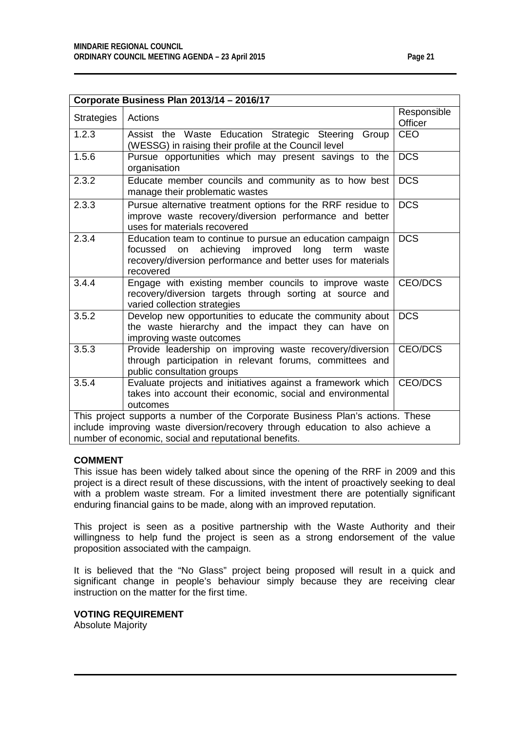| Corporate Business Plan 2013/14 - 2016/17 |                                                                                                                                                                                              |                        |
|-------------------------------------------|----------------------------------------------------------------------------------------------------------------------------------------------------------------------------------------------|------------------------|
| Strategies                                | Actions                                                                                                                                                                                      | Responsible<br>Officer |
| $\overline{1.2.3}$                        | Assist the Waste Education Strategic Steering<br>Group<br>(WESSG) in raising their profile at the Council level                                                                              | <b>CEO</b>             |
| 1.5.6                                     | Pursue opportunities which may present savings to the<br>organisation                                                                                                                        | <b>DCS</b>             |
| 2.3.2                                     | Educate member councils and community as to how best<br>manage their problematic wastes                                                                                                      | <b>DCS</b>             |
| 2.3.3                                     | Pursue alternative treatment options for the RRF residue to<br>improve waste recovery/diversion performance and better<br>uses for materials recovered                                       | <b>DCS</b>             |
| 2.3.4                                     | Education team to continue to pursue an education campaign<br>focussed on achieving improved long term<br>waste<br>recovery/diversion performance and better uses for materials<br>recovered | <b>DCS</b>             |
| 3.4.4                                     | Engage with existing member councils to improve waste<br>recovery/diversion targets through sorting at source and<br>varied collection strategies                                            | CEO/DCS                |
| 3.5.2                                     | Develop new opportunities to educate the community about<br>the waste hierarchy and the impact they can have on<br>improving waste outcomes                                                  | <b>DCS</b>             |
| 3.5.3                                     | Provide leadership on improving waste recovery/diversion<br>through participation in relevant forums, committees and<br>public consultation groups                                           | CEO/DCS                |
| 3.5.4                                     | Evaluate projects and initiatives against a framework which<br>takes into account their economic, social and environmental<br>outcomes                                                       | CEO/DCS                |

This project supports a number of the Corporate Business Plan's actions. These include improving waste diversion/recovery through education to also achieve a number of economic, social and reputational benefits.

#### **COMMENT**

This issue has been widely talked about since the opening of the RRF in 2009 and this project is a direct result of these discussions, with the intent of proactively seeking to deal with a problem waste stream. For a limited investment there are potentially significant enduring financial gains to be made, along with an improved reputation.

This project is seen as a positive partnership with the Waste Authority and their willingness to help fund the project is seen as a strong endorsement of the value proposition associated with the campaign.

It is believed that the "No Glass" project being proposed will result in a quick and significant change in people's behaviour simply because they are receiving clear instruction on the matter for the first time.

**VOTING REQUIREMENT**

Absolute Majority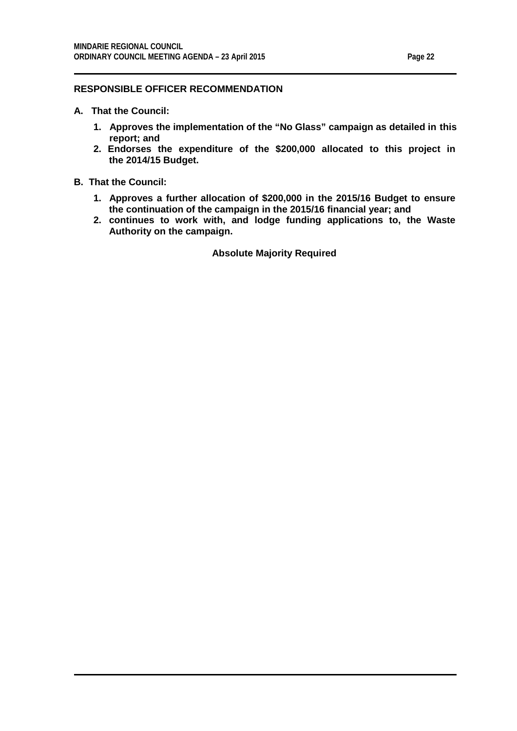# **RESPONSIBLE OFFICER RECOMMENDATION**

- **A. That the Council:**
	- **1. Approves the implementation of the "No Glass" campaign as detailed in this report; and**
	- **2. Endorses the expenditure of the \$200,000 allocated to this project in the 2014/15 Budget.**

#### **B. That the Council:**

- **1. Approves a further allocation of \$200,000 in the 2015/16 Budget to ensure the continuation of the campaign in the 2015/16 financial year; and**
- **2. continues to work with, and lodge funding applications to, the Waste Authority on the campaign.**

**Absolute Majority Required**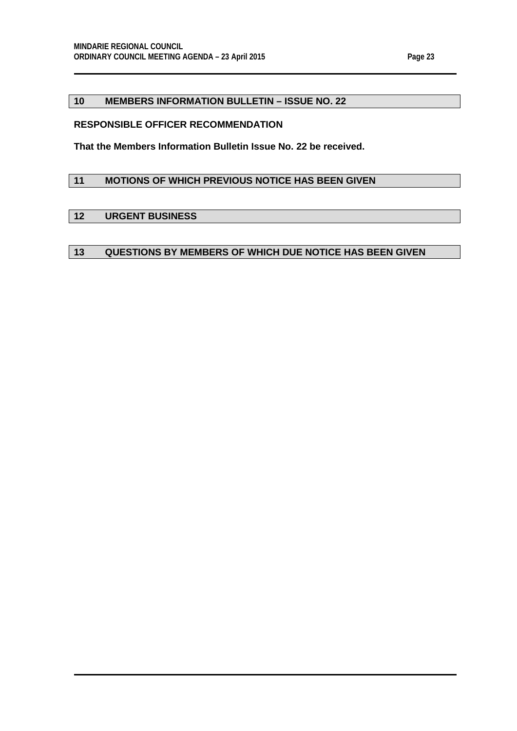# <span id="page-22-0"></span>**10 MEMBERS INFORMATION BULLETIN – ISSUE NO. 22**

# **RESPONSIBLE OFFICER RECOMMENDATION**

**That the Members Information Bulletin Issue No. 22 be received.**

# <span id="page-22-1"></span>**11 MOTIONS OF WHICH PREVIOUS NOTICE HAS BEEN GIVEN**

# <span id="page-22-2"></span>**12 URGENT BUSINESS**

# <span id="page-22-3"></span>**13 QUESTIONS BY MEMBERS OF WHICH DUE NOTICE HAS BEEN GIVEN**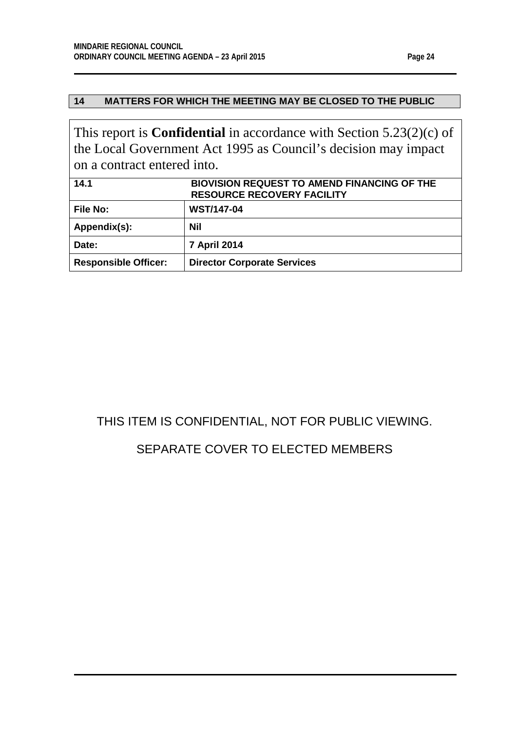# <span id="page-23-0"></span>**14 MATTERS FOR WHICH THE MEETING MAY BE CLOSED TO THE PUBLIC**

This report is **Confidential** in accordance with Section 5.23(2)(c) of the Local Government Act 1995 as Council's decision may impact on a contract entered into.

<span id="page-23-1"></span>

| 14.1                        | <b>BIOVISION REQUEST TO AMEND FINANCING OF THE</b><br><b>RESOURCE RECOVERY FACILITY</b> |
|-----------------------------|-----------------------------------------------------------------------------------------|
| <b>File No:</b>             | <b>WST/147-04</b>                                                                       |
| Appendix(s):                | Nil                                                                                     |
| Date:                       | <b>7 April 2014</b>                                                                     |
| <b>Responsible Officer:</b> | <b>Director Corporate Services</b>                                                      |

# THIS ITEM IS CONFIDENTIAL, NOT FOR PUBLIC VIEWING.

# SEPARATE COVER TO ELECTED MEMBERS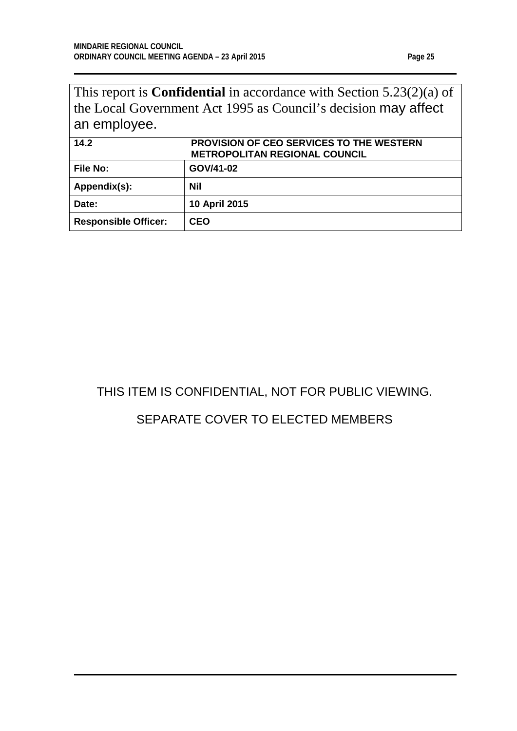This report is **Confidential** in accordance with Section 5.23(2)(a) of the Local Government Act 1995 as Council's decision may affect an employee.

<span id="page-24-0"></span>

| 14.2                        | <b>PROVISION OF CEO SERVICES TO THE WESTERN</b><br><b>METROPOLITAN REGIONAL COUNCIL</b> |
|-----------------------------|-----------------------------------------------------------------------------------------|
| <b>File No:</b>             | GOV/41-02                                                                               |
| Appendix(s):                | Nil                                                                                     |
| Date:                       | 10 April 2015                                                                           |
| <b>Responsible Officer:</b> | CEO                                                                                     |

# THIS ITEM IS CONFIDENTIAL, NOT FOR PUBLIC VIEWING.

# SEPARATE COVER TO ELECTED MEMBERS